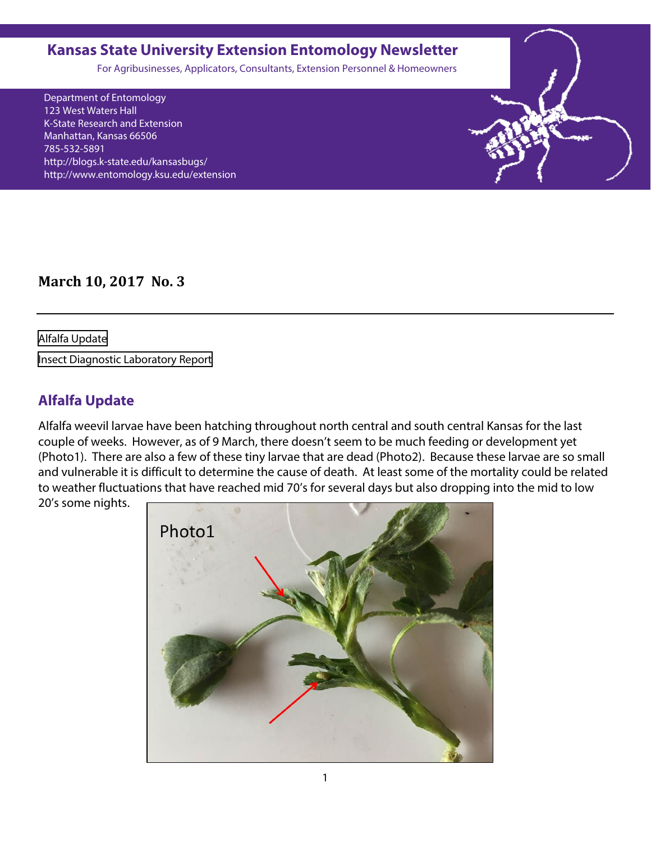### <span id="page-0-0"></span>**Kansas State University Extension Entomology Newsletter**

For Agribusinesses, Applicators, Consultants, Extension Personnel & Homeowners

Department of Entomology 123 West Waters Hall K-State Research and Extension Manhattan, Kansas 66506 785-532-5891 http://blogs.k-state.edu/kansasbugs/ http://www.entomology.ksu.edu/extension

**March 10, 2017 No. 3**

Alfalfa Update

[Insect Diagnostic Laboratory Report](#page-3-0)

## **Alfalfa Update**

Alfalfa weevil larvae have been hatching throughout north central and south central Kansas for the last couple of weeks. However, as of 9 March, there doesn't seem to be much feeding or development yet (Photo1). There are also a few of these tiny larvae that are dead (Photo2). Because these larvae are so small and vulnerable it is difficult to determine the cause of death. At least some of the mortality could be related to weather fluctuations that have reached mid 70's for several days but also dropping into the mid to low

20's some nights.

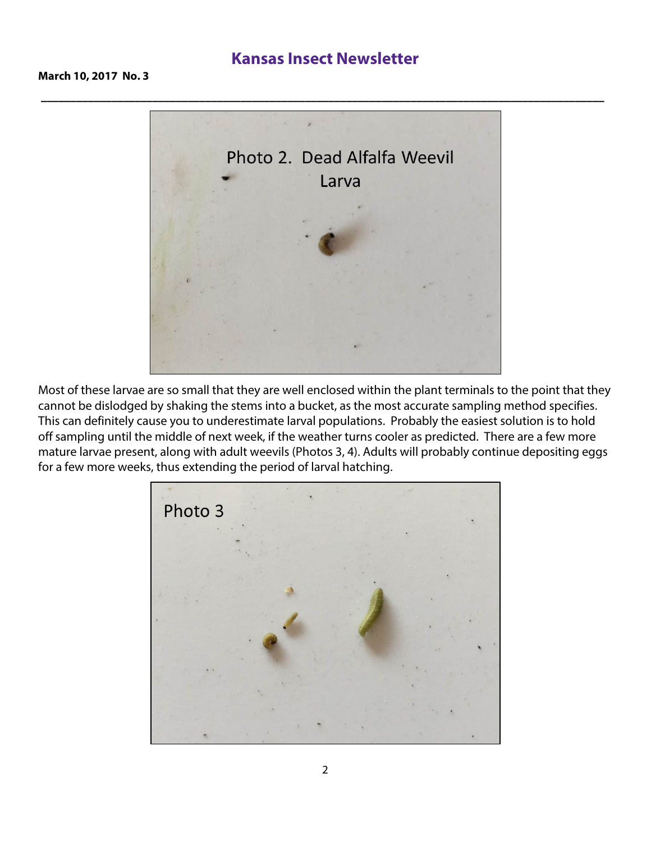## **Kansas Insect Newsletter**



Most of these larvae are so small that they are well enclosed within the plant terminals to the point that they cannot be dislodged by shaking the stems into a bucket, as the most accurate sampling method specifies. This can definitely cause you to underestimate larval populations. Probably the easiest solution is to hold off sampling until the middle of next week, if the weather turns cooler as predicted. There are a few more mature larvae present, along with adult weevils (Photos 3, 4). Adults will probably continue depositing eggs for a few more weeks, thus extending the period of larval hatching.

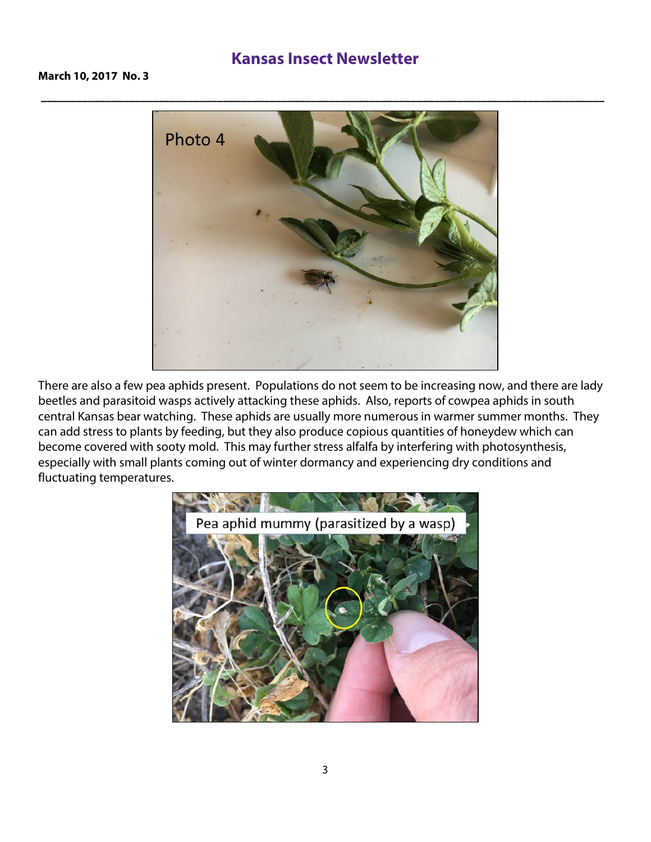#### **Kansas Insect Newsletter**

**March 10, 2017 No. 3**



There are also a few pea aphids present. Populations do not seem to be increasing now, and there are lady beetles and parasitoid wasps actively attacking these aphids. Also, reports of cowpea aphids in south central Kansas bear watching. These aphids are usually more numerous in warmer summer months. They can add stress to plants by feeding, but they also produce copious quantities of honeydew which can become covered with sooty mold. This may further stress alfalfa by interfering with photosynthesis, especially with small plants coming out of winter dormancy and experiencing dry conditions and fluctuating temperatures.

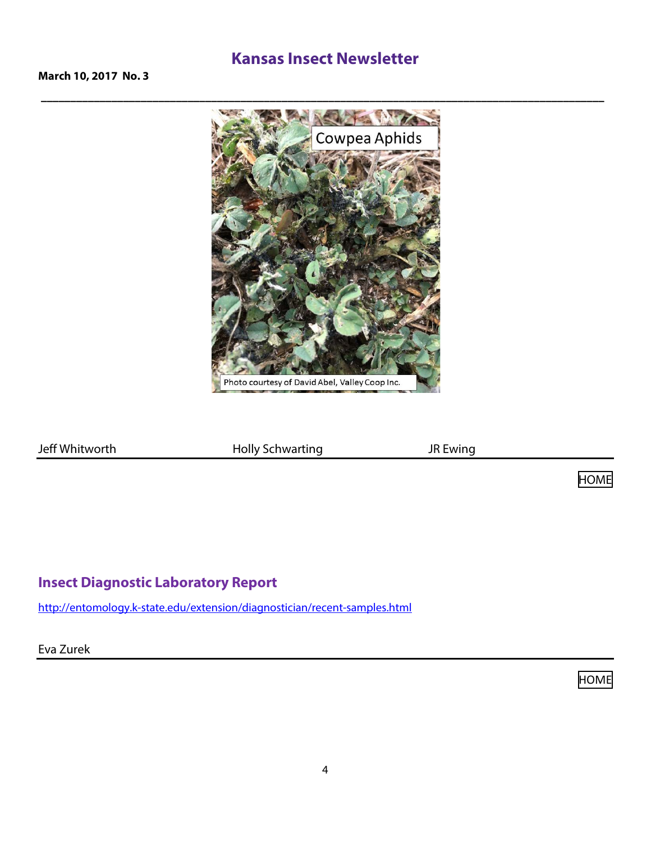## **Kansas Insect Newsletter**

<span id="page-3-0"></span>**March 10, 2017 No. 3**



Jeff Whitworth **Holly Schwarting** JR Ewing

[HOME](#page-0-0)

### **Insect Diagnostic Laboratory Repor[t](http://entomology.k-state.edu/extension/diagnostician/recent-samples.html)**

<http://entomology.k-state.edu/extension/diagnostician/recent-samples.html>

Eva Zurek

[HOME](#page-0-0)